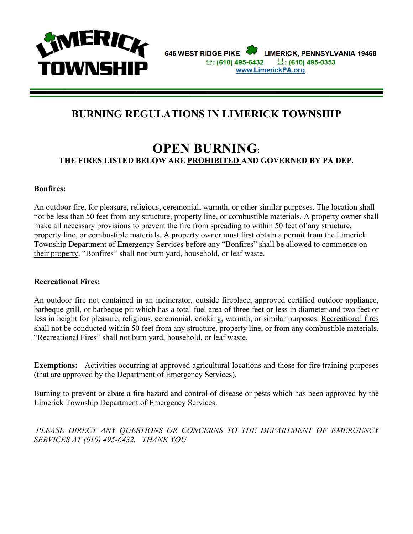

## **BURNING REGULATIONS IN LIMERICK TOWNSHIP**

## **OPEN BURNING: THE FIRES LISTED BELOW ARE PROHIBITED AND GOVERNED BY PA DEP.**

#### **Bonfires:**

An outdoor fire, for pleasure, religious, ceremonial, warmth, or other similar purposes. The location shall not be less than 50 feet from any structure, property line, or combustible materials. A property owner shall make all necessary provisions to prevent the fire from spreading to within 50 feet of any structure, property line, or combustible materials. A property owner must first obtain a permit from the Limerick Township Department of Emergency Services before any "Bonfires" shall be allowed to commence on their property. "Bonfires" shall not burn yard, household, or leaf waste.

#### **Recreational Fires:**

An outdoor fire not contained in an incinerator, outside fireplace, approved certified outdoor appliance, barbeque grill, or barbeque pit which has a total fuel area of three feet or less in diameter and two feet or less in height for pleasure, religious, ceremonial, cooking, warmth, or similar purposes. Recreational fires shall not be conducted within 50 feet from any structure, property line, or from any combustible materials. "Recreational Fires" shall not burn yard, household, or leaf waste.

**Exemptions:** Activities occurring at approved agricultural locations and those for fire training purposes (that are approved by the Department of Emergency Services).

Burning to prevent or abate a fire hazard and control of disease or pests which has been approved by the Limerick Township Department of Emergency Services.

PLEASE DIRECT ANY QUESTIONS OR CONCERNS TO THE DEPARTMENT OF EMERGENCY *SERVICES AT (610) 495-6432. THANK YOU*